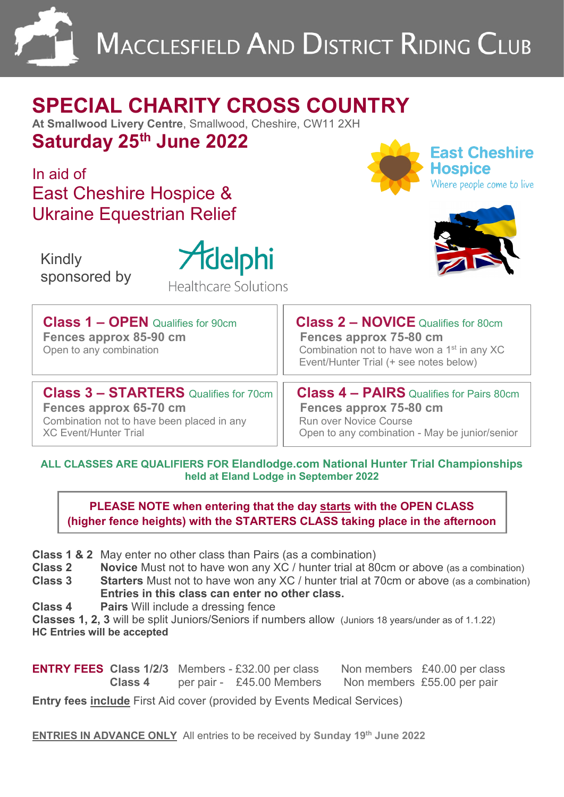

# **SPECIAL CHARITY CROSS COUNTRY**

**At Smallwood Livery Centre**, Smallwood, Cheshire, CW11 2XH **Saturday 25th June 2022** 

In aid of East Cheshire Hospice & Ukraine Equestrian Relief

 Kindly sponsored by



Healthcare Solutions

Hospice Nhere people come to live

**East Cheshire** 



| <b>Class 1 - OPEN Qualifies for 90cm</b><br>Fences approx 85-90 cm<br>Open to any combination | <b>Class 2 - NOVICE Qualifies for 80cm</b><br>Fences approx 75-80 cm<br>Combination not to have won a 1 <sup>st</sup> in any XC<br>Event/Hunter Trial (+ see notes below) |  |  |
|-----------------------------------------------------------------------------------------------|---------------------------------------------------------------------------------------------------------------------------------------------------------------------------|--|--|
| <b>Class 3 - STARTERS</b> Qualifies for 70cm                                                  | <b>Class 4 - PAIRS</b> Qualifies for Pairs 80cm                                                                                                                           |  |  |

**Fences approx 65-70 cm**<br> **Example 20 Completes approx 75-80 cm**<br> **Combination not to have been placed in any** Combination not to have been placed in any<br>XC Event/Hunter Trial

Open to any combination - May be junior/senior

**ALL CLASSES ARE QUALIFIERS FOR Elandlodge.com National Hunter Trial Championships held at Eland Lodge in September 2022** 

**PLEASE NOTE when entering that the day starts with the OPEN CLASS (higher fence heights) with the STARTERS CLASS taking place in the afternoon**

- **Class 1 & 2** May enter no other class than Pairs (as a combination)<br>**Class 2** Novice Must not to have won any XC / hunter trial at 80
- **Novice** Must not to have won any XC / hunter trial at 80cm or above (as a combination)
- **Class 3 Starters** Must not to have won any XC / hunter trial at 70cm or above (as a combination) **Entries in this class can enter no other class.**
- **Class 4 Pairs** Will include a dressing fence

**Classes 1, 2, 3** will be split Juniors/Seniors if numbers allow (Juniors 18 years/under as of 1.1.22) **HC Entries will be accepted**

**ENTRY FEES Class 1/2/3** Members - £32.00 per class Non members £40.00 per class **Class 4 per pair - £45.00 Members** Non members £55.00 per pair

**Entry fees include** First Aid cover (provided by Events Medical Services)

**ENTRIES IN ADVANCE ONLY** All entries to be received by Sunday 19<sup>th</sup> June 2022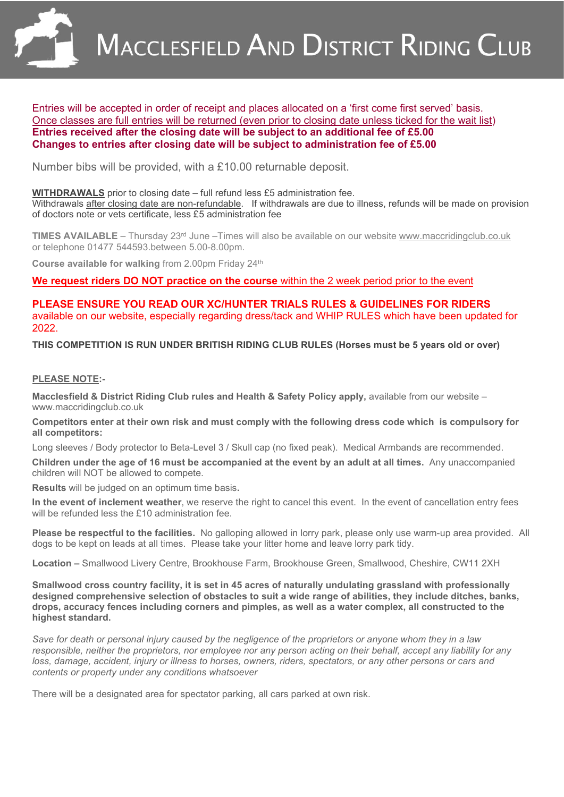

Entries will be accepted in order of receipt and places allocated on a 'first come first served' basis. Once classes are full entries will be returned (even prior to closing date unless ticked for the wait list) **Entries received after the closing date will be subject to an additional fee of £5.00 Changes to entries after closing date will be subject to administration fee of £5.00**

Number bibs will be provided, with a £10.00 returnable deposit.

**WITHDRAWALS** prior to closing date – full refund less £5 administration fee. Withdrawals after closing date are non-refundable. If withdrawals are due to illness, refunds will be made on provision of doctors note or vets certificate, less £5 administration fee

**TIMES AVAILABLE** – Thursday 23<sup>rd</sup> June –Times will also be available on our website www.maccridingclub.co.uk or telephone 01477 544593.between 5.00-8.00pm.

**Course available for walking** from 2.00pm Friday 24th

**We request riders DO NOT practice on the course** within the 2 week period prior to the event

#### **PLEASE ENSURE YOU READ OUR XC/HUNTER TRIALS RULES & GUIDELINES FOR RIDERS** available on our website, especially regarding dress/tack and WHIP RULES which have been updated for 2022.

**THIS COMPETITION IS RUN UNDER BRITISH RIDING CLUB RULES (Horses must be 5 years old or over)**

#### **PLEASE NOTE:-**

**Macclesfield & District Riding Club rules and Health & Safety Policy apply,** available from our website – www.maccridingclub.co.uk

**Competitors enter at their own risk and must comply with the following dress code which is compulsory for all competitors:** 

Long sleeves / Body protector to Beta-Level 3 / Skull cap (no fixed peak). Medical Armbands are recommended.

**Children under the age of 16 must be accompanied at the event by an adult at all times.** Any unaccompanied children will NOT be allowed to compete.

**Results** will be judged on an optimum time basis**.** 

**In the event of inclement weather**, we reserve the right to cancel this event. In the event of cancellation entry fees will be refunded less the £10 administration fee.

**Please be respectful to the facilities.** No galloping allowed in lorry park, please only use warm-up area provided. All dogs to be kept on leads at all times. Please take your litter home and leave lorry park tidy.

**Location –** Smallwood Livery Centre, Brookhouse Farm, Brookhouse Green, Smallwood, Cheshire, CW11 2XH

**Smallwood cross country facility, it is set in 45 acres of naturally undulating grassland with professionally designed comprehensive selection of obstacles to suit a wide range of abilities, they include ditches, banks, drops, accuracy fences including corners and pimples, as well as a water complex, all constructed to the highest standard.** 

*Save for death or personal injury caused by the negligence of the proprietors or anyone whom they in a law responsible, neither the proprietors, nor employee nor any person acting on their behalf, accept any liability for any loss, damage, accident, injury or illness to horses, owners, riders, spectators, or any other persons or cars and contents or property under any conditions whatsoever* 

There will be a designated area for spectator parking, all cars parked at own risk.